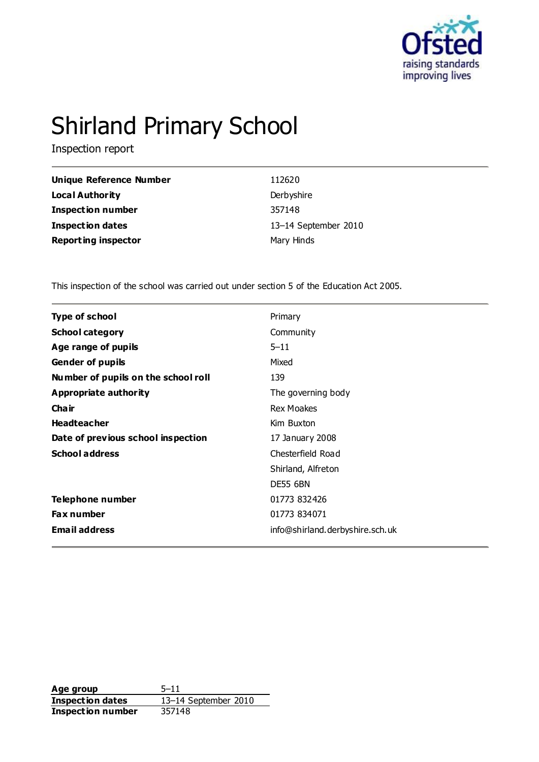

# Shirland Primary School

Inspection report

| Unique Reference Number    | 112620               |
|----------------------------|----------------------|
| <b>Local Authority</b>     | Derbyshire           |
| <b>Inspection number</b>   | 357148               |
| <b>Inspection dates</b>    | 13-14 September 2010 |
| <b>Reporting inspector</b> | Mary Hinds           |

This inspection of the school was carried out under section 5 of the Education Act 2005.

| <b>Type of school</b>               | Primary                         |
|-------------------------------------|---------------------------------|
| <b>School category</b>              | Community                       |
| Age range of pupils                 | $5 - 11$                        |
| <b>Gender of pupils</b>             | Mixed                           |
| Number of pupils on the school roll | 139                             |
| Appropriate authority               | The governing body              |
| Cha ir                              | <b>Rex Moakes</b>               |
| <b>Headteacher</b>                  | Kim Buxton                      |
| Date of previous school inspection  | 17 January 2008                 |
| <b>School address</b>               | Chesterfield Road               |
|                                     | Shirland, Alfreton              |
|                                     | <b>DE55 6BN</b>                 |
| Telephone number                    | 01773 832426                    |
| Fax number                          | 01773 834071                    |
| <b>Email address</b>                | info@shirland.derbyshire.sch.uk |
|                                     |                                 |

**Age group** 5–11 **Inspection dates** 13–14 September 2010 **Inspection number** 357148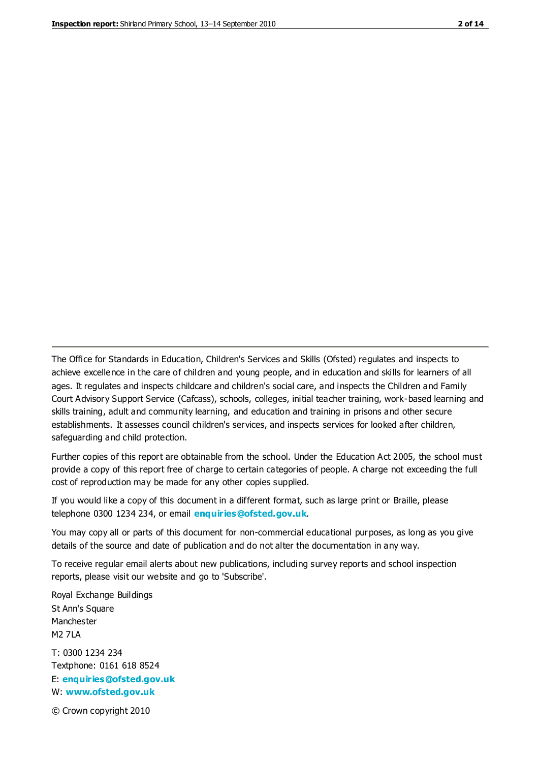The Office for Standards in Education, Children's Services and Skills (Ofsted) regulates and inspects to achieve excellence in the care of children and young people, and in education and skills for learners of all ages. It regulates and inspects childcare and children's social care, and inspects the Children and Family Court Advisory Support Service (Cafcass), schools, colleges, initial teacher training, work-based learning and skills training, adult and community learning, and education and training in prisons and other secure establishments. It assesses council children's services, and inspects services for looked after children, safeguarding and child protection.

Further copies of this report are obtainable from the school. Under the Education Act 2005, the school must provide a copy of this report free of charge to certain categories of people. A charge not exceeding the full cost of reproduction may be made for any other copies supplied.

If you would like a copy of this document in a different format, such as large print or Braille, please telephone 0300 1234 234, or email **[enquiries@ofsted.gov.uk](mailto:enquiries@ofsted.gov.uk)**.

You may copy all or parts of this document for non-commercial educational purposes, as long as you give details of the source and date of publication and do not alter the documentation in any way.

To receive regular email alerts about new publications, including survey reports and school inspection reports, please visit our website and go to 'Subscribe'.

Royal Exchange Buildings St Ann's Square Manchester M2 7LA T: 0300 1234 234 Textphone: 0161 618 8524 E: **[enquiries@ofsted.gov.uk](mailto:enquiries@ofsted.gov.uk)** W: **[www.ofsted.gov.uk](http://www.ofsted.gov.uk/)**

© Crown copyright 2010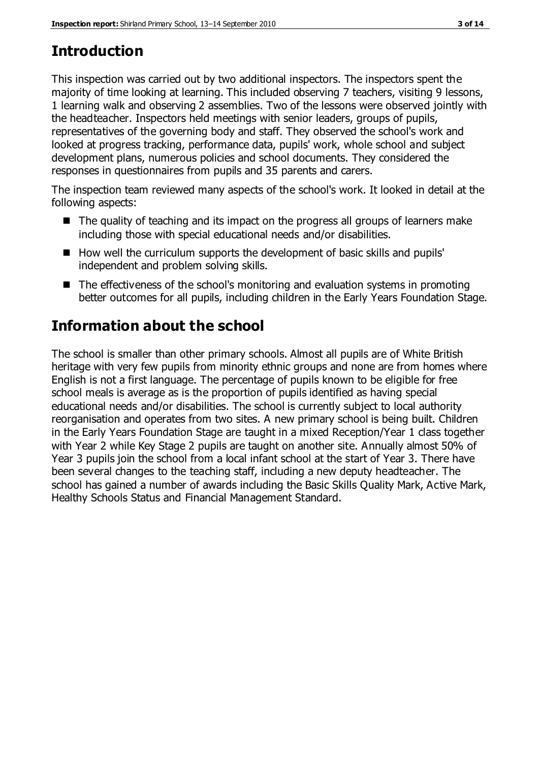# **Introduction**

This inspection was carried out by two additional inspectors. The inspectors spent the majority of time looking at learning. This included observing 7 teachers, visiting 9 lessons, 1 learning walk and observing 2 assemblies. Two of the lessons were observed jointly with the headteacher. Inspectors held meetings with senior leaders, groups of pupils, representatives of the governing body and staff. They observed the school's work and looked at progress tracking, performance data, pupils' work, whole school and subject development plans, numerous policies and school documents. They considered the responses in questionnaires from pupils and 35 parents and carers.

The inspection team reviewed many aspects of the school's work. It looked in detail at the following aspects:

- The quality of teaching and its impact on the progress all groups of learners make including those with special educational needs and/or disabilities.
- How well the curriculum supports the development of basic skills and pupils' independent and problem solving skills.
- The effectiveness of the school's monitoring and evaluation systems in promoting better outcomes for all pupils, including children in the Early Years Foundation Stage.

# **Information about the school**

The school is smaller than other primary schools. Almost all pupils are of White British heritage with very few pupils from minority ethnic groups and none are from homes where English is not a first language. The percentage of pupils known to be eligible for free school meals is average as is the proportion of pupils identified as having special educational needs and/or disabilities. The school is currently subject to local authority reorganisation and operates from two sites. A new primary school is being built. Children in the Early Years Foundation Stage are taught in a mixed Reception/Year 1 class together with Year 2 while Key Stage 2 pupils are taught on another site. Annually almost 50% of Year 3 pupils join the school from a local infant school at the start of Year 3. There have been several changes to the teaching staff, including a new deputy headteacher. The school has gained a number of awards including the Basic Skills Quality Mark, Active Mark, Healthy Schools Status and Financial Management Standard.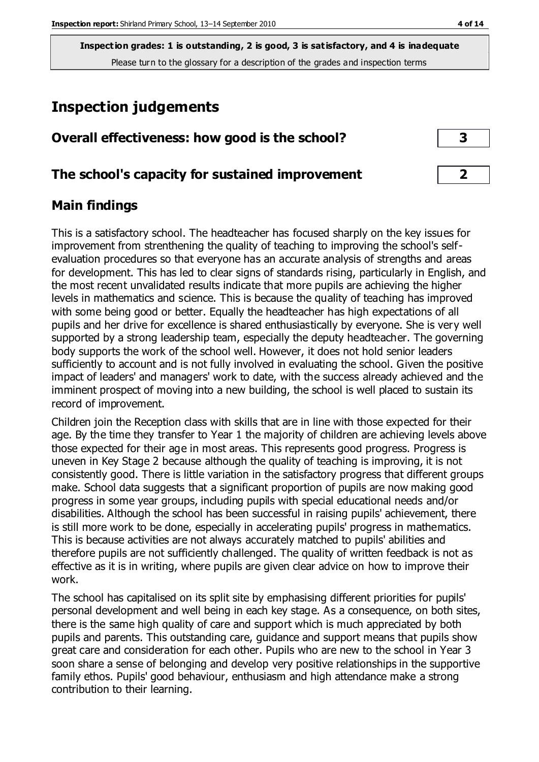# **Inspection judgements**

| Overall effectiveness: how good is the school? |  |
|------------------------------------------------|--|
|------------------------------------------------|--|

## **The school's capacity for sustained improvement 2**

### **Main findings**

This is a satisfactory school. The headteacher has focused sharply on the key issues for improvement from strenthening the quality of teaching to improving the school's selfevaluation procedures so that everyone has an accurate analysis of strengths and areas for development. This has led to clear signs of standards rising, particularly in English, and the most recent unvalidated results indicate that more pupils are achieving the higher levels in mathematics and science. This is because the quality of teaching has improved with some being good or better. Equally the headteacher has high expectations of all pupils and her drive for excellence is shared enthusiastically by everyone. She is very well supported by a strong leadership team, especially the deputy headteacher. The governing body supports the work of the school well. However, it does not hold senior leaders sufficiently to account and is not fully involved in evaluating the school. Given the positive impact of leaders' and managers' work to date, with the success already achieved and the imminent prospect of moving into a new building, the school is well placed to sustain its record of improvement.

Children join the Reception class with skills that are in line with those expected for their age. By the time they transfer to Year 1 the majority of children are achieving levels above those expected for their age in most areas. This represents good progress. Progress is uneven in Key Stage 2 because although the quality of teaching is improving, it is not consistently good. There is little variation in the satisfactory progress that different groups make. School data suggests that a significant proportion of pupils are now making good progress in some year groups, including pupils with special educational needs and/or disabilities. Although the school has been successful in raising pupils' achievement, there is still more work to be done, especially in accelerating pupils' progress in mathematics. This is because activities are not always accurately matched to pupils' abilities and therefore pupils are not sufficiently challenged. The quality of written feedback is not as effective as it is in writing, where pupils are given clear advice on how to improve their work.

The school has capitalised on its split site by emphasising different priorities for pupils' personal development and well being in each key stage. As a consequence, on both sites, there is the same high quality of care and support which is much appreciated by both pupils and parents. This outstanding care, guidance and support means that pupils show great care and consideration for each other. Pupils who are new to the school in Year 3 soon share a sense of belonging and develop very positive relationships in the supportive family ethos. Pupils' good behaviour, enthusiasm and high attendance make a strong contribution to their learning.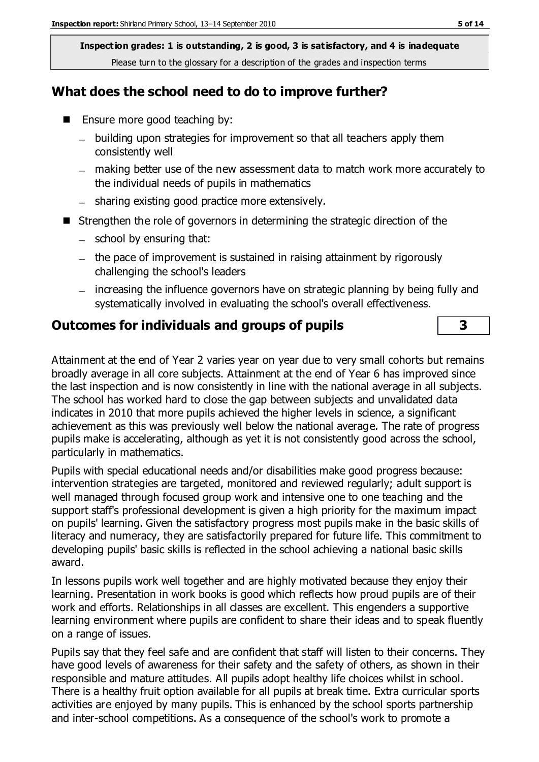## **What does the school need to do to improve further?**

- Ensure more good teaching by:
	- building upon strategies for improvement so that all teachers apply them consistently well
	- making better use of the new assessment data to match work more accurately to the individual needs of pupils in mathematics
	- sharing existing good practice more extensively.
- Strengthen the role of governors in determining the strategic direction of the
	- $-$  school by ensuring that:
	- $-$  the pace of improvement is sustained in raising attainment by rigorously challenging the school's leaders
	- increasing the influence governors have on strategic planning by being fully and systematically involved in evaluating the school's overall effectiveness.

## **Outcomes for individuals and groups of pupils 3**

Attainment at the end of Year 2 varies year on year due to very small cohorts but remains broadly average in all core subjects. Attainment at the end of Year 6 has improved since the last inspection and is now consistently in line with the national average in all subjects. The school has worked hard to close the gap between subjects and unvalidated data indicates in 2010 that more pupils achieved the higher levels in science, a significant achievement as this was previously well below the national average. The rate of progress pupils make is accelerating, although as yet it is not consistently good across the school, particularly in mathematics.

Pupils with special educational needs and/or disabilities make good progress because: intervention strategies are targeted, monitored and reviewed regularly; adult support is well managed through focused group work and intensive one to one teaching and the support staff's professional development is given a high priority for the maximum impact on pupils' learning. Given the satisfactory progress most pupils make in the basic skills of literacy and numeracy, they are satisfactorily prepared for future life. This commitment to developing pupils' basic skills is reflected in the school achieving a national basic skills award.

In lessons pupils work well together and are highly motivated because they enjoy their learning. Presentation in work books is good which reflects how proud pupils are of their work and efforts. Relationships in all classes are excellent. This engenders a supportive learning environment where pupils are confident to share their ideas and to speak fluently on a range of issues.

Pupils say that they feel safe and are confident that staff will listen to their concerns. They have good levels of awareness for their safety and the safety of others, as shown in their responsible and mature attitudes. All pupils adopt healthy life choices whilst in school. There is a healthy fruit option available for all pupils at break time. Extra curricular sports activities are enjoyed by many pupils. This is enhanced by the school sports partnership and inter-school competitions. As a consequence of the school's work to promote a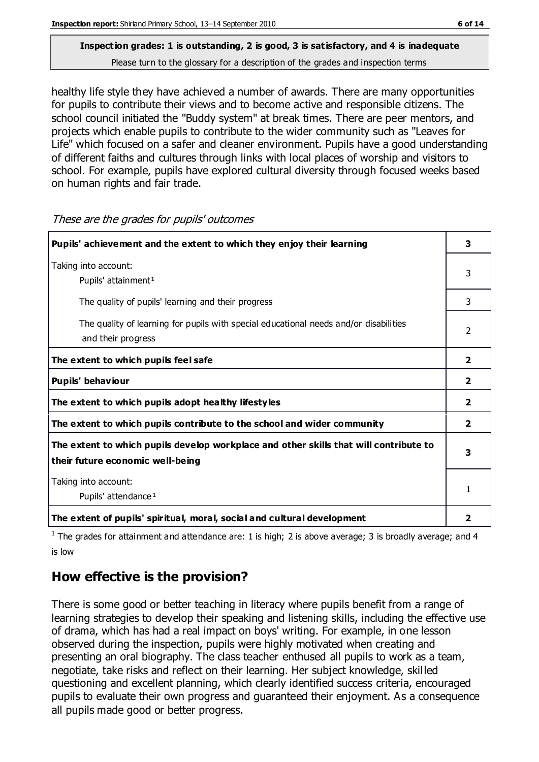healthy life style they have achieved a number of awards. There are many opportunities for pupils to contribute their views and to become active and responsible citizens. The school council initiated the "Buddy system" at break times. There are peer mentors, and projects which enable pupils to contribute to the wider community such as "Leaves for Life" which focused on a safer and cleaner environment. Pupils have a good understanding of different faiths and cultures through links with local places of worship and visitors to school. For example, pupils have explored cultural diversity through focused weeks based on human rights and fair trade.

| Pupils' achievement and the extent to which they enjoy their learning                                                     |                         |
|---------------------------------------------------------------------------------------------------------------------------|-------------------------|
| Taking into account:<br>Pupils' attainment <sup>1</sup>                                                                   |                         |
| The quality of pupils' learning and their progress                                                                        | 3                       |
| The quality of learning for pupils with special educational needs and/or disabilities<br>and their progress               |                         |
| The extent to which pupils feel safe                                                                                      |                         |
| Pupils' behaviour                                                                                                         | $\overline{\mathbf{2}}$ |
| The extent to which pupils adopt healthy lifestyles                                                                       | $\overline{\mathbf{2}}$ |
| The extent to which pupils contribute to the school and wider community                                                   | $\mathbf{2}$            |
| The extent to which pupils develop workplace and other skills that will contribute to<br>their future economic well-being |                         |
| Taking into account:<br>Pupils' attendance <sup>1</sup>                                                                   |                         |
| The extent of pupils' spiritual, moral, social and cultural development                                                   | 2                       |

These are the grades for pupils' outcomes

<sup>1</sup> The grades for attainment and attendance are: 1 is high; 2 is above average; 3 is broadly average; and 4 is low

## **How effective is the provision?**

There is some good or better teaching in literacy where pupils benefit from a range of learning strategies to develop their speaking and listening skills, including the effective use of drama, which has had a real impact on boys' writing. For example, in one lesson observed during the inspection, pupils were highly motivated when creating and presenting an oral biography. The class teacher enthused all pupils to work as a team, negotiate, take risks and reflect on their learning. Her subject knowledge, skilled questioning and excellent planning, which clearly identified success criteria, encouraged pupils to evaluate their own progress and guaranteed their enjoyment. As a consequence all pupils made good or better progress.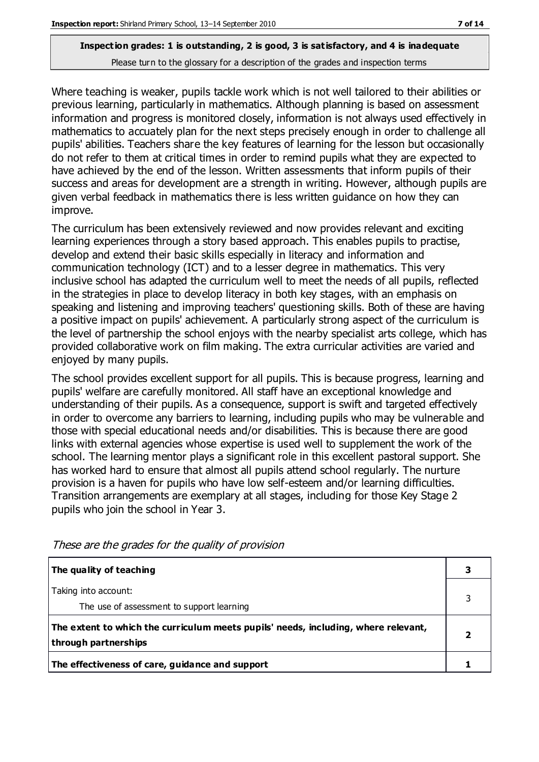Where teaching is weaker, pupils tackle work which is not well tailored to their abilities or previous learning, particularly in mathematics. Although planning is based on assessment information and progress is monitored closely, information is not always used effectively in mathematics to accuately plan for the next steps precisely enough in order to challenge all pupils' abilities. Teachers share the key features of learning for the lesson but occasionally do not refer to them at critical times in order to remind pupils what they are expected to have achieved by the end of the lesson. Written assessments that inform pupils of their success and areas for development are a strength in writing. However, although pupils are given verbal feedback in mathematics there is less written guidance on how they can improve.

The curriculum has been extensively reviewed and now provides relevant and exciting learning experiences through a story based approach. This enables pupils to practise, develop and extend their basic skills especially in literacy and information and communication technology (ICT) and to a lesser degree in mathematics. This very inclusive school has adapted the curriculum well to meet the needs of all pupils, reflected in the strategies in place to develop literacy in both key stages, with an emphasis on speaking and listening and improving teachers' questioning skills. Both of these are having a positive impact on pupils' achievement. A particularly strong aspect of the curriculum is the level of partnership the school enjoys with the nearby specialist arts college, which has provided collaborative work on film making. The extra curricular activities are varied and enjoyed by many pupils.

The school provides excellent support for all pupils. This is because progress, learning and pupils' welfare are carefully monitored. All staff have an exceptional knowledge and understanding of their pupils. As a consequence, support is swift and targeted effectively in order to overcome any barriers to learning, including pupils who may be vulnerable and those with special educational needs and/or disabilities. This is because there are good links with external agencies whose expertise is used well to supplement the work of the school. The learning mentor plays a significant role in this excellent pastoral support. She has worked hard to ensure that almost all pupils attend school regularly. The nurture provision is a haven for pupils who have low self-esteem and/or learning difficulties. Transition arrangements are exemplary at all stages, including for those Key Stage 2 pupils who join the school in Year 3.

| The quality of teaching                                                                                    |  |
|------------------------------------------------------------------------------------------------------------|--|
| Taking into account:<br>The use of assessment to support learning                                          |  |
| The extent to which the curriculum meets pupils' needs, including, where relevant,<br>through partnerships |  |
| The effectiveness of care, guidance and support                                                            |  |

These are the grades for the quality of provision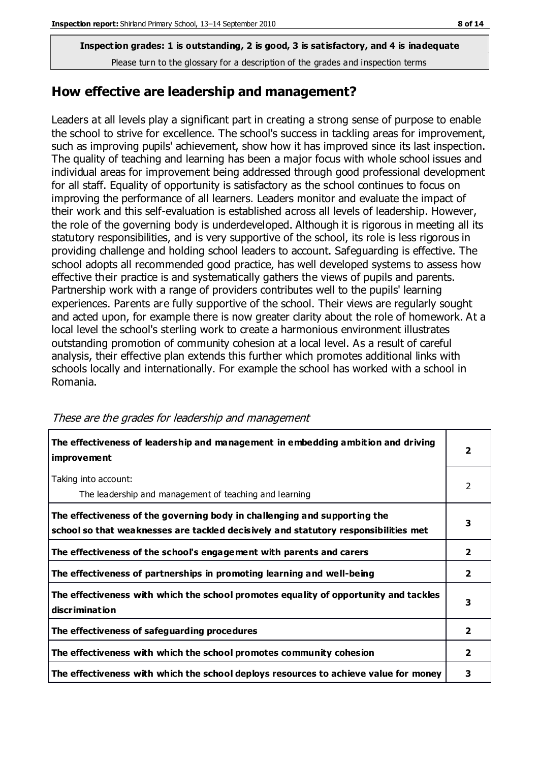#### **How effective are leadership and management?**

Leaders at all levels play a significant part in creating a strong sense of purpose to enable the school to strive for excellence. The school's success in tackling areas for improvement, such as improving pupils' achievement, show how it has improved since its last inspection. The quality of teaching and learning has been a major focus with whole school issues and individual areas for improvement being addressed through good professional development for all staff. Equality of opportunity is satisfactory as the school continues to focus on improving the performance of all learners. Leaders monitor and evaluate the impact of their work and this self-evaluation is established across all levels of leadership. However, the role of the governing body is underdeveloped. Although it is rigorous in meeting all its statutory responsibilities, and is very supportive of the school, its role is less rigorous in providing challenge and holding school leaders to account. Safeguarding is effective. The school adopts all recommended good practice, has well developed systems to assess how effective their practice is and systematically gathers the views of pupils and parents. Partnership work with a range of providers contributes well to the pupils' learning experiences. Parents are fully supportive of the school. Their views are regularly sought and acted upon, for example there is now greater clarity about the role of homework. At a local level the school's sterling work to create a harmonious environment illustrates outstanding promotion of community cohesion at a local level. As a result of careful analysis, their effective plan extends this further which promotes additional links with schools locally and internationally. For example the school has worked with a school in Romania.

| The effectiveness of leadership and management in embedding ambition and driving<br>improvement                                                                  |                |
|------------------------------------------------------------------------------------------------------------------------------------------------------------------|----------------|
| Taking into account:<br>The leadership and management of teaching and learning                                                                                   | $\overline{2}$ |
| The effectiveness of the governing body in challenging and supporting the<br>school so that weaknesses are tackled decisively and statutory responsibilities met | 3              |
| The effectiveness of the school's engagement with parents and carers                                                                                             | $\mathbf{2}$   |
| The effectiveness of partnerships in promoting learning and well-being                                                                                           | $\overline{2}$ |
| The effectiveness with which the school promotes equality of opportunity and tackles<br>discrimination                                                           | 3              |
| The effectiveness of safeguarding procedures                                                                                                                     | $\overline{2}$ |
| The effectiveness with which the school promotes community cohesion                                                                                              | 2              |
| The effectiveness with which the school deploys resources to achieve value for money                                                                             | 3              |

These are the grades for leadership and management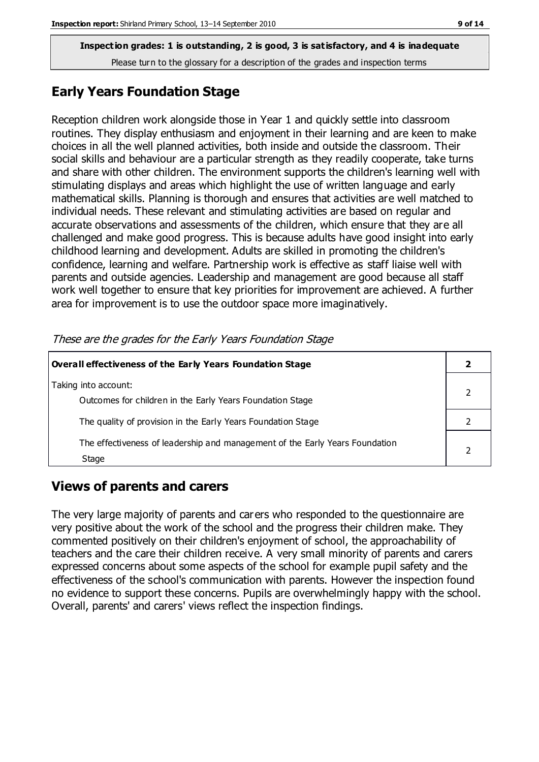#### **Early Years Foundation Stage**

Reception children work alongside those in Year 1 and quickly settle into classroom routines. They display enthusiasm and enjoyment in their learning and are keen to make choices in all the well planned activities, both inside and outside the classroom. Their social skills and behaviour are a particular strength as they readily cooperate, take turns and share with other children. The environment supports the children's learning well with stimulating displays and areas which highlight the use of written language and early mathematical skills. Planning is thorough and ensures that activities are well matched to individual needs. These relevant and stimulating activities are based on regular and accurate observations and assessments of the children, which ensure that they are all challenged and make good progress. This is because adults have good insight into early childhood learning and development. Adults are skilled in promoting the children's confidence, learning and welfare. Partnership work is effective as staff liaise well with parents and outside agencies. Leadership and management are good because all staff work well together to ensure that key priorities for improvement are achieved. A further area for improvement is to use the outdoor space more imaginatively.

**Overall effectiveness of the Early Years Foundation Stage 2** Taking into account: Outcomes for children in the Early Years Foundation Stage 2 The quality of provision in the Early Years Foundation Stage 2 The effectiveness of leadership and management of the Early Years Foundation Stage 2

These are the grades for the Early Years Foundation Stage

## **Views of parents and carers**

The very large majority of parents and carers who responded to the questionnaire are very positive about the work of the school and the progress their children make. They commented positively on their children's enjoyment of school, the approachability of teachers and the care their children receive. A very small minority of parents and carers expressed concerns about some aspects of the school for example pupil safety and the effectiveness of the school's communication with parents. However the inspection found no evidence to support these concerns. Pupils are overwhelmingly happy with the school. Overall, parents' and carers' views reflect the inspection findings.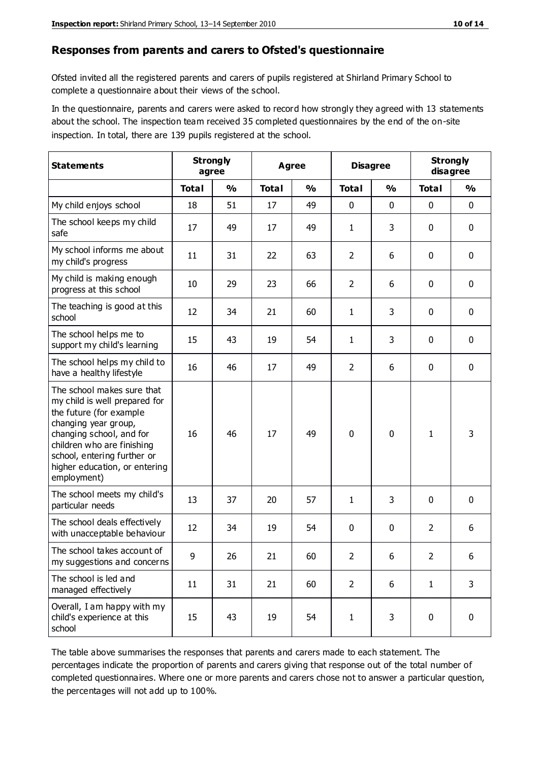#### **Responses from parents and carers to Ofsted's questionnaire**

Ofsted invited all the registered parents and carers of pupils registered at Shirland Primary School to complete a questionnaire about their views of the school.

In the questionnaire, parents and carers were asked to record how strongly they agreed with 13 statements about the school. The inspection team received 35 completed questionnaires by the end of the on-site inspection. In total, there are 139 pupils registered at the school.

| <b>Statements</b>                                                                                                                                                                                                                                       | <b>Strongly</b><br>agree |               | <b>Agree</b> |               | <b>Disagree</b> |               | <b>Strongly</b><br>disagree |               |
|---------------------------------------------------------------------------------------------------------------------------------------------------------------------------------------------------------------------------------------------------------|--------------------------|---------------|--------------|---------------|-----------------|---------------|-----------------------------|---------------|
|                                                                                                                                                                                                                                                         | <b>Total</b>             | $\frac{0}{0}$ | <b>Total</b> | $\frac{0}{0}$ | <b>Total</b>    | $\frac{0}{0}$ | <b>Total</b>                | $\frac{0}{0}$ |
| My child enjoys school                                                                                                                                                                                                                                  | 18                       | 51            | 17           | 49            | 0               | 0             | $\mathbf 0$                 | $\mathbf 0$   |
| The school keeps my child<br>safe                                                                                                                                                                                                                       | 17                       | 49            | 17           | 49            | 1               | 3             | $\mathbf 0$                 | $\mathbf 0$   |
| My school informs me about<br>my child's progress                                                                                                                                                                                                       | 11                       | 31            | 22           | 63            | $\overline{2}$  | 6             | $\mathbf 0$                 | $\mathbf 0$   |
| My child is making enough<br>progress at this school                                                                                                                                                                                                    | 10                       | 29            | 23           | 66            | $\overline{2}$  | 6             | 0                           | $\mathbf 0$   |
| The teaching is good at this<br>school                                                                                                                                                                                                                  | 12                       | 34            | 21           | 60            | 1               | 3             | $\mathbf 0$                 | $\mathbf 0$   |
| The school helps me to<br>support my child's learning                                                                                                                                                                                                   | 15                       | 43            | 19           | 54            | 1               | 3             | $\mathbf 0$                 | $\mathbf 0$   |
| The school helps my child to<br>have a healthy lifestyle                                                                                                                                                                                                | 16                       | 46            | 17           | 49            | $\overline{2}$  | 6             | $\mathbf 0$                 | $\mathbf 0$   |
| The school makes sure that<br>my child is well prepared for<br>the future (for example<br>changing year group,<br>changing school, and for<br>children who are finishing<br>school, entering further or<br>higher education, or entering<br>employment) | 16                       | 46            | 17           | 49            | $\mathbf 0$     | $\mathbf{0}$  | $\mathbf{1}$                | 3             |
| The school meets my child's<br>particular needs                                                                                                                                                                                                         | 13                       | 37            | 20           | 57            | 1               | 3             | $\mathbf 0$                 | $\mathbf 0$   |
| The school deals effectively<br>with unacceptable behaviour                                                                                                                                                                                             | 12                       | 34            | 19           | 54            | 0               | 0             | $\overline{2}$              | 6             |
| The school takes account of<br>my suggestions and concerns                                                                                                                                                                                              | 9                        | 26            | 21           | 60            | $\overline{2}$  | 6             | $\overline{2}$              | 6             |
| The school is led and<br>managed effectively                                                                                                                                                                                                            | 11                       | 31            | 21           | 60            | $\overline{2}$  | 6             | $\mathbf{1}$                | 3             |
| Overall, I am happy with my<br>child's experience at this<br>school                                                                                                                                                                                     | 15                       | 43            | 19           | 54            | $\mathbf 1$     | 3             | $\mathbf 0$                 | $\mathbf 0$   |

The table above summarises the responses that parents and carers made to each statement. The percentages indicate the proportion of parents and carers giving that response out of the total number of completed questionnaires. Where one or more parents and carers chose not to answer a particular question, the percentages will not add up to 100%.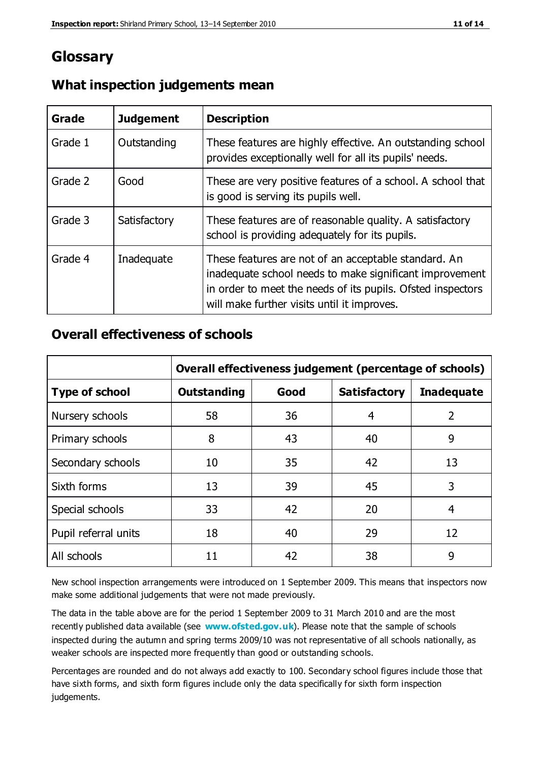# **Glossary**

| Grade   | <b>Judgement</b> | <b>Description</b>                                                                                                                                                                                                            |
|---------|------------------|-------------------------------------------------------------------------------------------------------------------------------------------------------------------------------------------------------------------------------|
| Grade 1 | Outstanding      | These features are highly effective. An outstanding school<br>provides exceptionally well for all its pupils' needs.                                                                                                          |
| Grade 2 | Good             | These are very positive features of a school. A school that<br>is good is serving its pupils well.                                                                                                                            |
| Grade 3 | Satisfactory     | These features are of reasonable quality. A satisfactory<br>school is providing adequately for its pupils.                                                                                                                    |
| Grade 4 | Inadequate       | These features are not of an acceptable standard. An<br>inadequate school needs to make significant improvement<br>in order to meet the needs of its pupils. Ofsted inspectors<br>will make further visits until it improves. |

### **What inspection judgements mean**

### **Overall effectiveness of schools**

|                       | Overall effectiveness judgement (percentage of schools) |      |                     |                   |
|-----------------------|---------------------------------------------------------|------|---------------------|-------------------|
| <b>Type of school</b> | <b>Outstanding</b>                                      | Good | <b>Satisfactory</b> | <b>Inadequate</b> |
| Nursery schools       | 58                                                      | 36   | 4                   | 2                 |
| Primary schools       | 8                                                       | 43   | 40                  | 9                 |
| Secondary schools     | 10                                                      | 35   | 42                  | 13                |
| Sixth forms           | 13                                                      | 39   | 45                  | 3                 |
| Special schools       | 33                                                      | 42   | 20                  | 4                 |
| Pupil referral units  | 18                                                      | 40   | 29                  | 12                |
| All schools           | 11                                                      | 42   | 38                  | 9                 |

New school inspection arrangements were introduced on 1 September 2009. This means that inspectors now make some additional judgements that were not made previously.

The data in the table above are for the period 1 September 2009 to 31 March 2010 and are the most recently published data available (see **[www.ofsted.gov.uk](http://www.ofsted.gov.uk/)**). Please note that the sample of schools inspected during the autumn and spring terms 2009/10 was not representative of all schools nationally, as weaker schools are inspected more frequently than good or outstanding schools.

Percentages are rounded and do not always add exactly to 100. Secondary school figures include those that have sixth forms, and sixth form figures include only the data specifically for sixth form inspection judgements.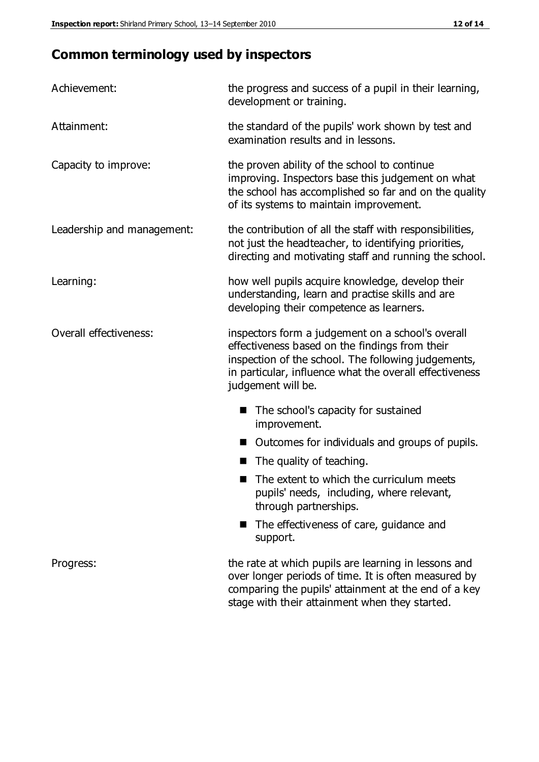# **Common terminology used by inspectors**

| Achievement:                  | the progress and success of a pupil in their learning,<br>development or training.                                                                                                                                                          |  |  |
|-------------------------------|---------------------------------------------------------------------------------------------------------------------------------------------------------------------------------------------------------------------------------------------|--|--|
| Attainment:                   | the standard of the pupils' work shown by test and<br>examination results and in lessons.                                                                                                                                                   |  |  |
| Capacity to improve:          | the proven ability of the school to continue<br>improving. Inspectors base this judgement on what<br>the school has accomplished so far and on the quality<br>of its systems to maintain improvement.                                       |  |  |
| Leadership and management:    | the contribution of all the staff with responsibilities,<br>not just the headteacher, to identifying priorities,<br>directing and motivating staff and running the school.                                                                  |  |  |
| Learning:                     | how well pupils acquire knowledge, develop their<br>understanding, learn and practise skills and are<br>developing their competence as learners.                                                                                            |  |  |
| <b>Overall effectiveness:</b> | inspectors form a judgement on a school's overall<br>effectiveness based on the findings from their<br>inspection of the school. The following judgements,<br>in particular, influence what the overall effectiveness<br>judgement will be. |  |  |
|                               | The school's capacity for sustained<br>improvement.                                                                                                                                                                                         |  |  |
|                               | Outcomes for individuals and groups of pupils.                                                                                                                                                                                              |  |  |
|                               | The quality of teaching.                                                                                                                                                                                                                    |  |  |
|                               | The extent to which the curriculum meets<br>pupils' needs, including, where relevant,<br>through partnerships.                                                                                                                              |  |  |
|                               | The effectiveness of care, guidance and<br>support.                                                                                                                                                                                         |  |  |
| Progress:                     | the rate at which pupils are learning in lessons and<br>over longer periods of time. It is often measured by<br>comparing the pupils' attainment at the end of a key                                                                        |  |  |

stage with their attainment when they started.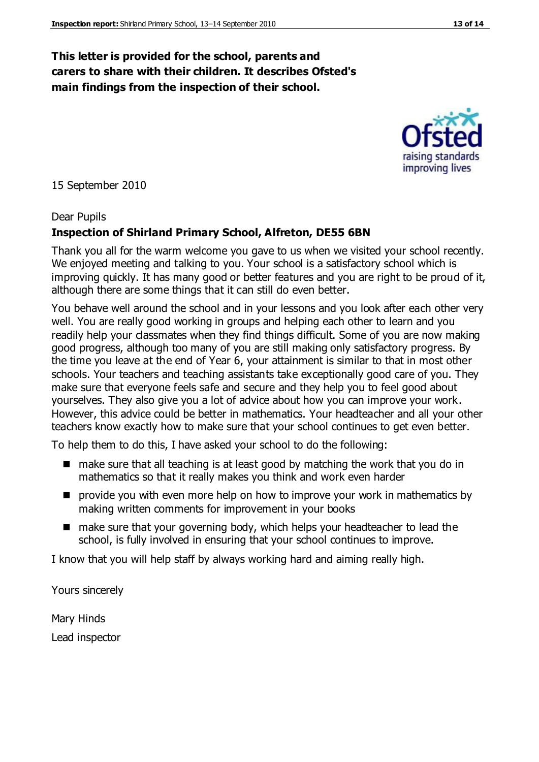#### **This letter is provided for the school, parents and carers to share with their children. It describes Ofsted's main findings from the inspection of their school.**

15 September 2010

#### Dear Pupils

#### **Inspection of Shirland Primary School, Alfreton, DE55 6BN**

Thank you all for the warm welcome you gave to us when we visited your school recently. We enjoyed meeting and talking to you. Your school is a satisfactory school which is improving quickly. It has many good or better features and you are right to be proud of it, although there are some things that it can still do even better.

You behave well around the school and in your lessons and you look after each other very well. You are really good working in groups and helping each other to learn and you readily help your classmates when they find things difficult. Some of you are now making good progress, although too many of you are still making only satisfactory progress. By the time you leave at the end of Year 6, your attainment is similar to that in most other schools. Your teachers and teaching assistants take exceptionally good care of you. They make sure that everyone feels safe and secure and they help you to feel good about yourselves. They also give you a lot of advice about how you can improve your work. However, this advice could be better in mathematics. Your headteacher and all your other teachers know exactly how to make sure that your school continues to get even better.

To help them to do this, I have asked your school to do the following:

- $\blacksquare$  make sure that all teaching is at least good by matching the work that you do in mathematics so that it really makes you think and work even harder
- **P** provide you with even more help on how to improve your work in mathematics by making written comments for improvement in your books
- make sure that your governing body, which helps your headteacher to lead the school, is fully involved in ensuring that your school continues to improve.

I know that you will help staff by always working hard and aiming really high.

Yours sincerely

Mary Hinds Lead inspector